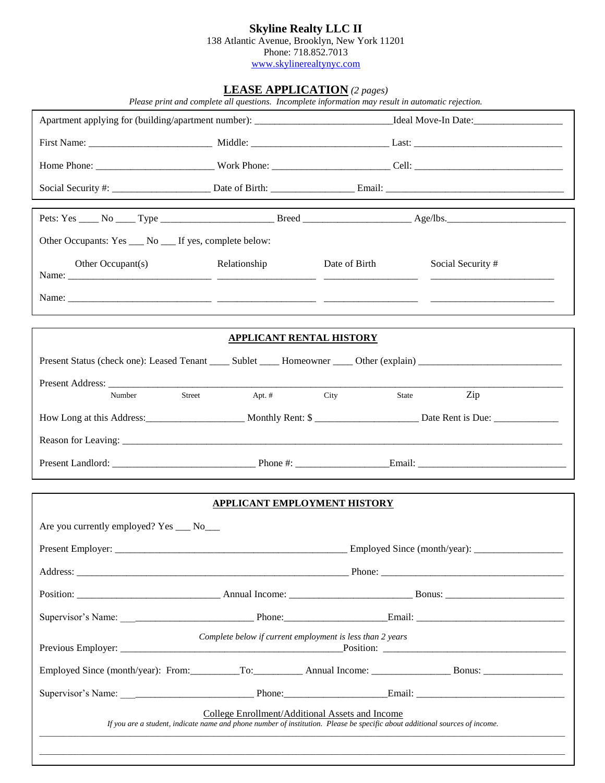## **Skyline Realty LLC II**

138 Atlantic Avenue, Brooklyn, New York 11201

Phone: 718.852.7013 [www.skylinerealtynyc.com](http://www.skylinerealtynyc.com/)

## **LEASE APPLICATION** *(2 pages)*

| Other Occupants: Yes ___ No ___ If yes, complete below:                           |                                                           |                                 |                                                                                                                             |  |
|-----------------------------------------------------------------------------------|-----------------------------------------------------------|---------------------------------|-----------------------------------------------------------------------------------------------------------------------------|--|
| Other Occupant(s)                                                                 | Relationship                                              | Date of Birth                   | Social Security #                                                                                                           |  |
|                                                                                   |                                                           |                                 |                                                                                                                             |  |
|                                                                                   |                                                           | <b>APPLICANT RENTAL HISTORY</b> |                                                                                                                             |  |
|                                                                                   |                                                           |                                 |                                                                                                                             |  |
|                                                                                   |                                                           |                                 |                                                                                                                             |  |
| Number                                                                            | Street<br>Apt. $#$                                        | City                            | Zip<br>State                                                                                                                |  |
|                                                                                   |                                                           |                                 |                                                                                                                             |  |
|                                                                                   |                                                           |                                 |                                                                                                                             |  |
| Present Landlord: Present Landlord: Phone #: Phone #: Email: Email: Phone #: 2014 |                                                           |                                 |                                                                                                                             |  |
|                                                                                   | APPLICANT EMPLOYMENT HISTORY                              |                                 |                                                                                                                             |  |
| Are you currently employed? Yes ___ No___                                         |                                                           |                                 |                                                                                                                             |  |
|                                                                                   |                                                           |                                 |                                                                                                                             |  |
|                                                                                   |                                                           |                                 |                                                                                                                             |  |
|                                                                                   |                                                           |                                 |                                                                                                                             |  |
|                                                                                   |                                                           |                                 |                                                                                                                             |  |
|                                                                                   | Complete below if current employment is less than 2 years |                                 |                                                                                                                             |  |
|                                                                                   |                                                           |                                 |                                                                                                                             |  |
|                                                                                   |                                                           |                                 |                                                                                                                             |  |
|                                                                                   | College Enrollment/Additional Assets and Income           |                                 | If you are a student, indicate name and phone number of institution. Please be specific about additional sources of income. |  |
|                                                                                   |                                                           |                                 |                                                                                                                             |  |